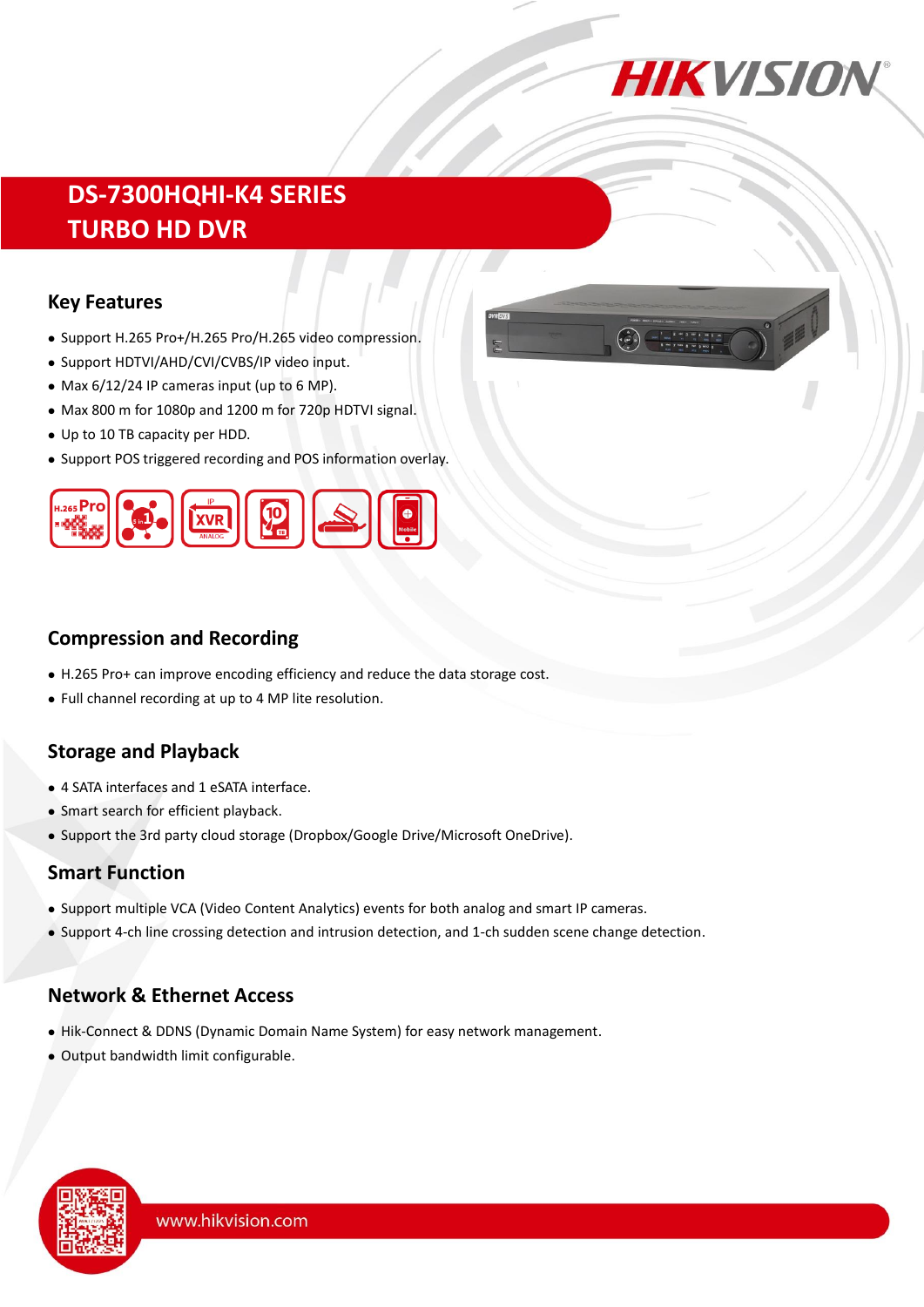

# **DS-7300HQHI-K4 SERIES TURBO HD DVR**

#### **Key Features**

- Support H.265 Pro+/H.265 Pro/H.265 video compression.
- Support HDTVI/AHD/CVI/CVBS/IP video input.
- Max 6/12/24 IP cameras input (up to 6 MP).
- Max 800 m for 1080p and 1200 m for 720p HDTVI signal.
- Up to 10 TB capacity per HDD.
- Support POS triggered recording and POS information overlay.





### **Compression and Recording**

- H.265 Pro+ can improve encoding efficiency and reduce the data storage cost.
- Full channel recording at up to 4 MP lite resolution.

# **Storage and Playback**

- 4 SATA interfaces and 1 eSATA interface.
- Smart search for efficient playback.
- Support the 3rd party cloud storage (Dropbox/Google Drive/Microsoft OneDrive).

#### **Smart Function**

- Support multiple VCA (Video Content Analytics) events for both analog and smart IP cameras.
- Support 4-ch line crossing detection and intrusion detection, and 1-ch sudden scene change detection.

# **Network & Ethernet Access**

- Hik-Connect & DDNS (Dynamic Domain Name System) for easy network management.
- Output bandwidth limit configurable.

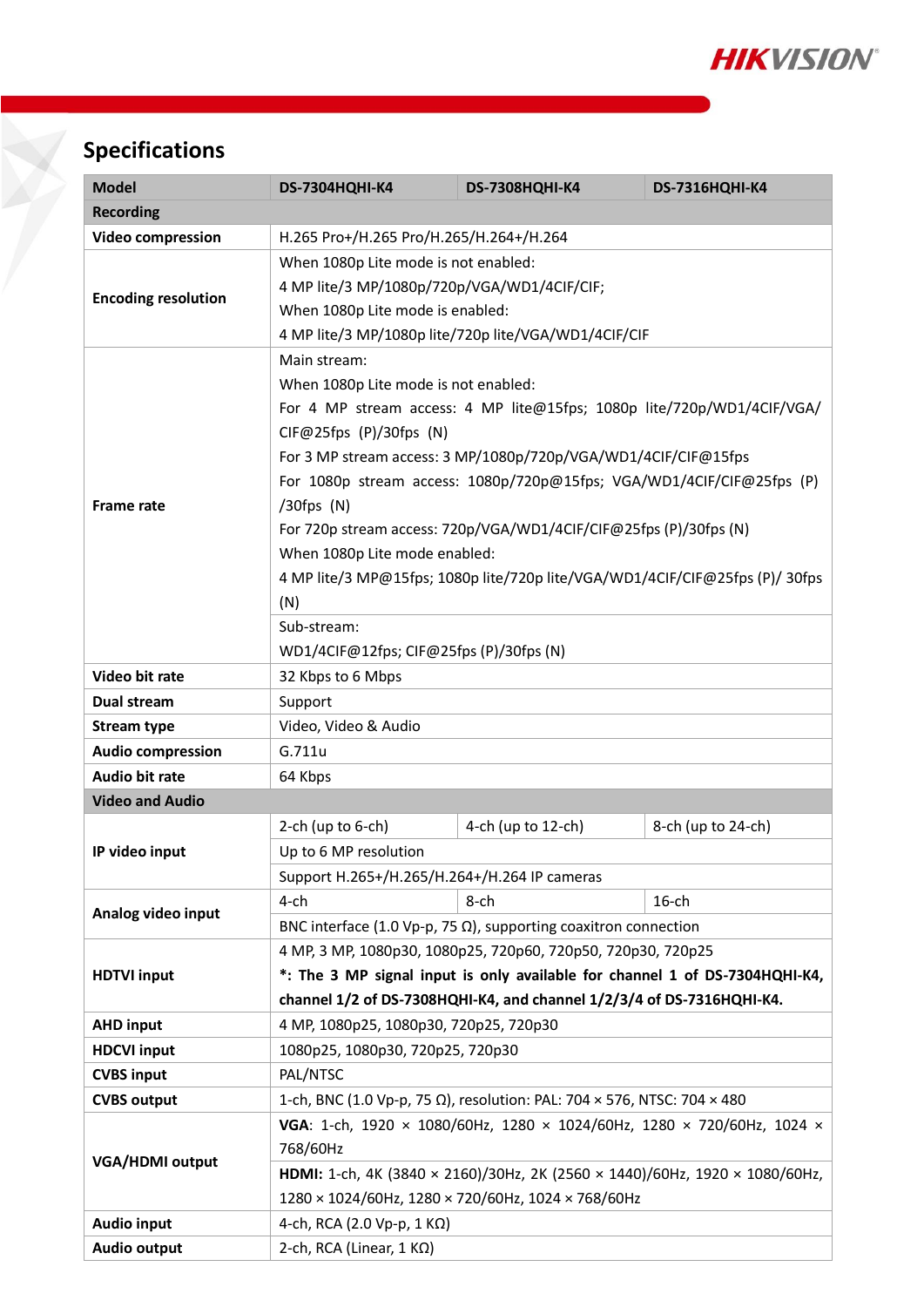

# **Specifications**

| <b>Model</b>               | <b>DS-7304HQHI-K4</b>                                                        | <b>DS-7308HQHI-K4</b>                                                   | <b>DS-7316HQHI-K4</b> |  |  |  |  |
|----------------------------|------------------------------------------------------------------------------|-------------------------------------------------------------------------|-----------------------|--|--|--|--|
| <b>Recording</b>           |                                                                              |                                                                         |                       |  |  |  |  |
| <b>Video compression</b>   | H.265 Pro+/H.265 Pro/H.265/H.264+/H.264                                      |                                                                         |                       |  |  |  |  |
| <b>Encoding resolution</b> | When 1080p Lite mode is not enabled:                                         |                                                                         |                       |  |  |  |  |
|                            | 4 MP lite/3 MP/1080p/720p/VGA/WD1/4CIF/CIF;                                  |                                                                         |                       |  |  |  |  |
|                            | When 1080p Lite mode is enabled:                                             |                                                                         |                       |  |  |  |  |
|                            | 4 MP lite/3 MP/1080p lite/720p lite/VGA/WD1/4CIF/CIF                         |                                                                         |                       |  |  |  |  |
| <b>Frame rate</b>          | Main stream:                                                                 |                                                                         |                       |  |  |  |  |
|                            | When 1080p Lite mode is not enabled:                                         |                                                                         |                       |  |  |  |  |
|                            | For 4 MP stream access: 4 MP lite@15fps; 1080p lite/720p/WD1/4CIF/VGA/       |                                                                         |                       |  |  |  |  |
|                            | CIF@25fps (P)/30fps (N)                                                      |                                                                         |                       |  |  |  |  |
|                            | For 3 MP stream access: 3 MP/1080p/720p/VGA/WD1/4CIF/CIF@15fps               |                                                                         |                       |  |  |  |  |
|                            | For 1080p stream access: 1080p/720p@15fps; VGA/WD1/4CIF/CIF@25fps (P)        |                                                                         |                       |  |  |  |  |
|                            | $/30$ fps $(N)$                                                              |                                                                         |                       |  |  |  |  |
|                            | For 720p stream access: 720p/VGA/WD1/4CIF/CIF@25fps (P)/30fps (N)            |                                                                         |                       |  |  |  |  |
|                            | When 1080p Lite mode enabled:                                                |                                                                         |                       |  |  |  |  |
|                            | 4 MP lite/3 MP@15fps; 1080p lite/720p lite/VGA/WD1/4CIF/CIF@25fps (P)/ 30fps |                                                                         |                       |  |  |  |  |
|                            | (N)                                                                          |                                                                         |                       |  |  |  |  |
|                            | Sub-stream:                                                                  |                                                                         |                       |  |  |  |  |
|                            | WD1/4CIF@12fps; CIF@25fps (P)/30fps (N)                                      |                                                                         |                       |  |  |  |  |
| Video bit rate             | 32 Kbps to 6 Mbps                                                            |                                                                         |                       |  |  |  |  |
| Dual stream                | Support                                                                      |                                                                         |                       |  |  |  |  |
| <b>Stream type</b>         | Video, Video & Audio                                                         |                                                                         |                       |  |  |  |  |
| <b>Audio compression</b>   | G.711u                                                                       |                                                                         |                       |  |  |  |  |
| <b>Audio bit rate</b>      | 64 Kbps                                                                      |                                                                         |                       |  |  |  |  |
| <b>Video and Audio</b>     |                                                                              |                                                                         |                       |  |  |  |  |
|                            | 2-ch (up to $6$ -ch)                                                         | 4-ch (up to 12-ch)                                                      | 8-ch (up to 24-ch)    |  |  |  |  |
| IP video input             | Up to 6 MP resolution                                                        |                                                                         |                       |  |  |  |  |
|                            | Support H.265+/H.265/H.264+/H.264 IP cameras                                 |                                                                         |                       |  |  |  |  |
|                            | $4$ -ch                                                                      | 8-ch                                                                    | $16$ -ch              |  |  |  |  |
| Analog video input         | BNC interface (1.0 Vp-p, 75 $\Omega$ ), supporting coaxitron connection      |                                                                         |                       |  |  |  |  |
|                            | 4 MP, 3 MP, 1080p30, 1080p25, 720p60, 720p50, 720p30, 720p25                 |                                                                         |                       |  |  |  |  |
| <b>HDTVI input</b>         | *: The 3 MP signal input is only available for channel 1 of DS-7304HQHI-K4,  |                                                                         |                       |  |  |  |  |
|                            | channel 1/2 of DS-7308HQHI-K4, and channel 1/2/3/4 of DS-7316HQHI-K4.        |                                                                         |                       |  |  |  |  |
| <b>AHD input</b>           | 4 MP, 1080p25, 1080p30, 720p25, 720p30                                       |                                                                         |                       |  |  |  |  |
| <b>HDCVI input</b>         | 1080p25, 1080p30, 720p25, 720p30                                             |                                                                         |                       |  |  |  |  |
| <b>CVBS input</b>          | PAL/NTSC                                                                     |                                                                         |                       |  |  |  |  |
| <b>CVBS output</b>         |                                                                              | 1-ch, BNC (1.0 Vp-p, 75 Ω), resolution: PAL: 704 × 576, NTSC: 704 × 480 |                       |  |  |  |  |
|                            | VGA: 1-ch, 1920 × 1080/60Hz, 1280 × 1024/60Hz, 1280 × 720/60Hz, 1024 ×       |                                                                         |                       |  |  |  |  |
|                            | 768/60Hz                                                                     |                                                                         |                       |  |  |  |  |
| <b>VGA/HDMI</b> output     | HDMI: 1-ch, 4K (3840 × 2160)/30Hz, 2K (2560 × 1440)/60Hz, 1920 × 1080/60Hz,  |                                                                         |                       |  |  |  |  |
|                            | 1280 × 1024/60Hz, 1280 × 720/60Hz, 1024 × 768/60Hz                           |                                                                         |                       |  |  |  |  |
| <b>Audio input</b>         | 4-ch, RCA (2.0 Vp-p, 1 K $\Omega$ )                                          |                                                                         |                       |  |  |  |  |
| Audio output               | 2-ch, RCA (Linear, 1 KΩ)                                                     |                                                                         |                       |  |  |  |  |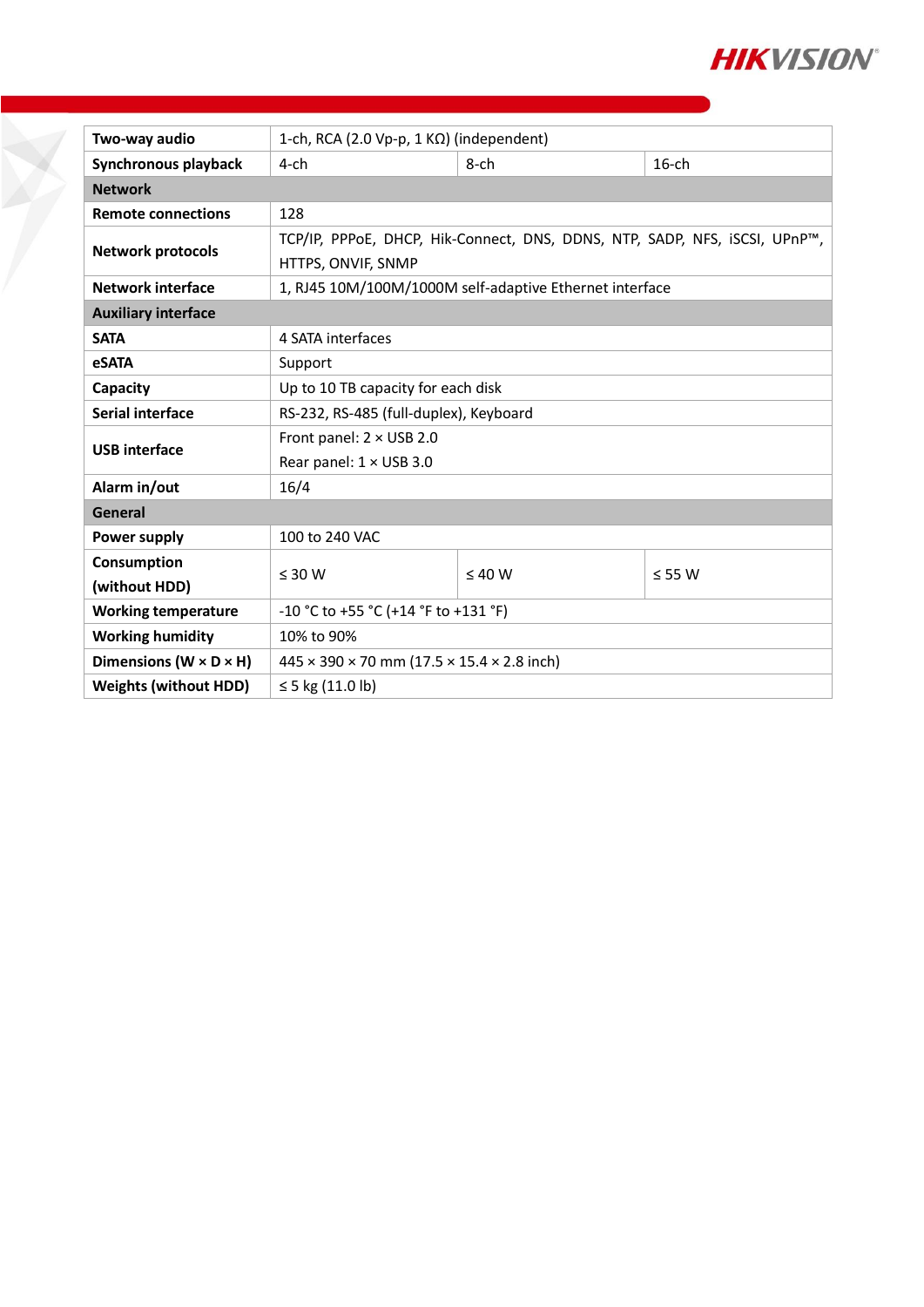

| Two-way audio                        | 1-ch, RCA (2.0 Vp-p, 1 $K\Omega$ ) (independent)                           |             |             |  |  |  |
|--------------------------------------|----------------------------------------------------------------------------|-------------|-------------|--|--|--|
| Synchronous playback                 | $4$ -ch                                                                    | $8$ -ch     | $16$ -ch    |  |  |  |
| <b>Network</b>                       |                                                                            |             |             |  |  |  |
| <b>Remote connections</b>            | 128                                                                        |             |             |  |  |  |
| <b>Network protocols</b>             | TCP/IP, PPPoE, DHCP, Hik-Connect, DNS, DDNS, NTP, SADP, NFS, iSCSI, UPnP™, |             |             |  |  |  |
|                                      | HTTPS, ONVIF, SNMP                                                         |             |             |  |  |  |
| <b>Network interface</b>             | 1, RJ45 10M/100M/1000M self-adaptive Ethernet interface                    |             |             |  |  |  |
| <b>Auxiliary interface</b>           |                                                                            |             |             |  |  |  |
| <b>SATA</b>                          | 4 SATA interfaces                                                          |             |             |  |  |  |
| <b>eSATA</b>                         | Support                                                                    |             |             |  |  |  |
| Capacity                             | Up to 10 TB capacity for each disk                                         |             |             |  |  |  |
| Serial interface                     | RS-232, RS-485 (full-duplex), Keyboard                                     |             |             |  |  |  |
| <b>USB</b> interface                 | Front panel: $2 \times$ USB 2.0                                            |             |             |  |  |  |
|                                      | Rear panel: 1 × USB 3.0                                                    |             |             |  |  |  |
| Alarm in/out                         | 16/4                                                                       |             |             |  |  |  |
| General                              |                                                                            |             |             |  |  |  |
| Power supply                         | 100 to 240 VAC                                                             |             |             |  |  |  |
| Consumption                          | $\leq 30$ W                                                                | $\leq 40$ W | $\leq$ 55 W |  |  |  |
| (without HDD)                        |                                                                            |             |             |  |  |  |
| <b>Working temperature</b>           | -10 °C to +55 °C (+14 °F to +131 °F)                                       |             |             |  |  |  |
| <b>Working humidity</b>              | 10% to 90%                                                                 |             |             |  |  |  |
| Dimensions ( $W \times D \times H$ ) | $445 \times 390 \times 70$ mm (17.5 $\times$ 15.4 $\times$ 2.8 inch)       |             |             |  |  |  |
| <b>Weights (without HDD)</b>         | ≤ 5 kg $(11.0 \text{ lb})$                                                 |             |             |  |  |  |

F.